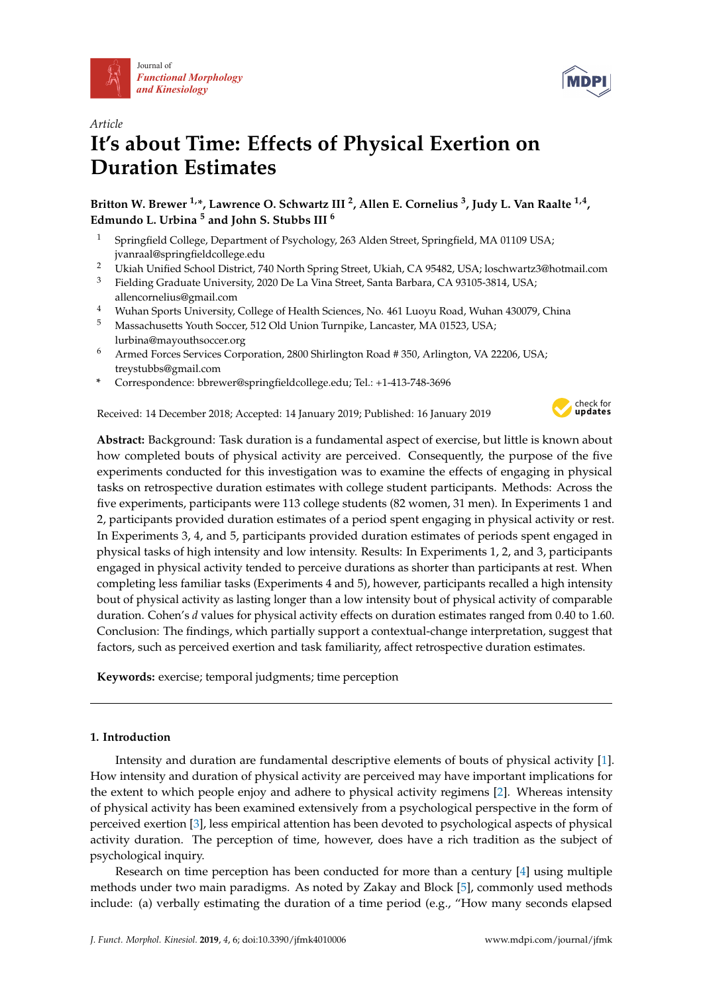



# *Article* **It's about Time: Effects of Physical Exertion on Duration Estimates**

**Britton W. Brewer 1,\*, Lawrence O. Schwartz III <sup>2</sup> , Allen E. Cornelius <sup>3</sup> , Judy L. Van Raalte 1,4 , Edmundo L. Urbina <sup>5</sup> and John S. Stubbs III <sup>6</sup>**

- <sup>1</sup> Springfield College, Department of Psychology, 263 Alden Street, Springfield, MA 01109 USA; jvanraal@springfieldcollege.edu
- <sup>2</sup> Ukiah Unified School District, 740 North Spring Street, Ukiah, CA 95482, USA; loschwartz3@hotmail.com
- <sup>3</sup> Fielding Graduate University, 2020 De La Vina Street, Santa Barbara, CA 93105-3814, USA; allencornelius@gmail.com
- <sup>4</sup> Wuhan Sports University, College of Health Sciences, No. 461 Luoyu Road, Wuhan 430079, China
- <sup>5</sup> Massachusetts Youth Soccer, 512 Old Union Turnpike, Lancaster, MA 01523, USA; lurbina@mayouthsoccer.org
- <sup>6</sup> Armed Forces Services Corporation, 2800 Shirlington Road # 350, Arlington, VA 22206, USA; treystubbs@gmail.com
- **\*** Correspondence: bbrewer@springfieldcollege.edu; Tel.: +1-413-748-3696

Received: 14 December 2018; Accepted: 14 January 2019; Published: 16 January 2019



**Abstract:** Background: Task duration is a fundamental aspect of exercise, but little is known about how completed bouts of physical activity are perceived. Consequently, the purpose of the five experiments conducted for this investigation was to examine the effects of engaging in physical tasks on retrospective duration estimates with college student participants. Methods: Across the five experiments, participants were 113 college students (82 women, 31 men). In Experiments 1 and 2, participants provided duration estimates of a period spent engaging in physical activity or rest. In Experiments 3, 4, and 5, participants provided duration estimates of periods spent engaged in physical tasks of high intensity and low intensity. Results: In Experiments 1, 2, and 3, participants engaged in physical activity tended to perceive durations as shorter than participants at rest. When completing less familiar tasks (Experiments 4 and 5), however, participants recalled a high intensity bout of physical activity as lasting longer than a low intensity bout of physical activity of comparable duration. Cohen's *d* values for physical activity effects on duration estimates ranged from 0.40 to 1.60. Conclusion: The findings, which partially support a contextual-change interpretation, suggest that factors, such as perceived exertion and task familiarity, affect retrospective duration estimates.

**Keywords:** exercise; temporal judgments; time perception

# **1. Introduction**

Intensity and duration are fundamental descriptive elements of bouts of physical activity [\[1\]](#page-10-0). How intensity and duration of physical activity are perceived may have important implications for the extent to which people enjoy and adhere to physical activity regimens [\[2\]](#page-11-0). Whereas intensity of physical activity has been examined extensively from a psychological perspective in the form of perceived exertion [\[3\]](#page-11-1), less empirical attention has been devoted to psychological aspects of physical activity duration. The perception of time, however, does have a rich tradition as the subject of psychological inquiry.

Research on time perception has been conducted for more than a century [\[4\]](#page-11-2) using multiple methods under two main paradigms. As noted by Zakay and Block [\[5\]](#page-11-3), commonly used methods include: (a) verbally estimating the duration of a time period (e.g., "How many seconds elapsed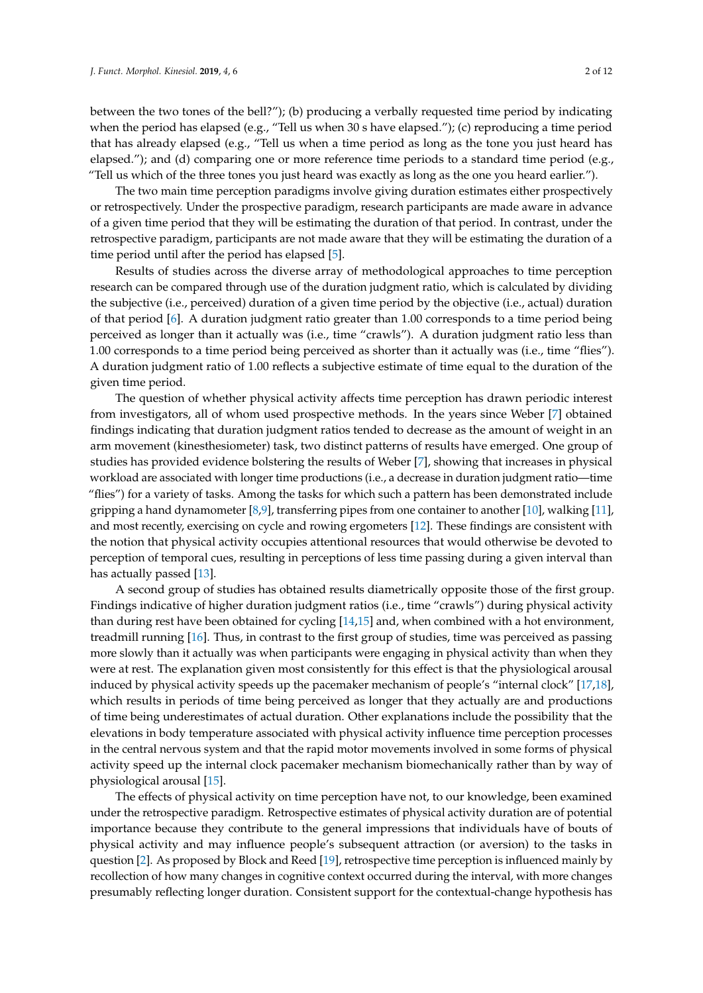between the two tones of the bell?"); (b) producing a verbally requested time period by indicating when the period has elapsed (e.g., "Tell us when 30 s have elapsed."); (c) reproducing a time period that has already elapsed (e.g., "Tell us when a time period as long as the tone you just heard has elapsed."); and (d) comparing one or more reference time periods to a standard time period (e.g., "Tell us which of the three tones you just heard was exactly as long as the one you heard earlier.").

The two main time perception paradigms involve giving duration estimates either prospectively or retrospectively. Under the prospective paradigm, research participants are made aware in advance of a given time period that they will be estimating the duration of that period. In contrast, under the retrospective paradigm, participants are not made aware that they will be estimating the duration of a time period until after the period has elapsed [\[5\]](#page-11-3).

Results of studies across the diverse array of methodological approaches to time perception research can be compared through use of the duration judgment ratio, which is calculated by dividing the subjective (i.e., perceived) duration of a given time period by the objective (i.e., actual) duration of that period [\[6\]](#page-11-4). A duration judgment ratio greater than 1.00 corresponds to a time period being perceived as longer than it actually was (i.e., time "crawls"). A duration judgment ratio less than 1.00 corresponds to a time period being perceived as shorter than it actually was (i.e., time "flies"). A duration judgment ratio of 1.00 reflects a subjective estimate of time equal to the duration of the given time period.

The question of whether physical activity affects time perception has drawn periodic interest from investigators, all of whom used prospective methods. In the years since Weber [\[7\]](#page-11-5) obtained findings indicating that duration judgment ratios tended to decrease as the amount of weight in an arm movement (kinesthesiometer) task, two distinct patterns of results have emerged. One group of studies has provided evidence bolstering the results of Weber [\[7\]](#page-11-5), showing that increases in physical workload are associated with longer time productions (i.e., a decrease in duration judgment ratio—time "flies") for a variety of tasks. Among the tasks for which such a pattern has been demonstrated include gripping a hand dynamometer [\[8](#page-11-6)[,9\]](#page-11-7), transferring pipes from one container to another [\[10\]](#page-11-8), walking [\[11\]](#page-11-9), and most recently, exercising on cycle and rowing ergometers [\[12\]](#page-11-10). These findings are consistent with the notion that physical activity occupies attentional resources that would otherwise be devoted to perception of temporal cues, resulting in perceptions of less time passing during a given interval than has actually passed [\[13\]](#page-11-11).

A second group of studies has obtained results diametrically opposite those of the first group. Findings indicative of higher duration judgment ratios (i.e., time "crawls") during physical activity than during rest have been obtained for cycling [\[14](#page-11-12)[,15\]](#page-11-13) and, when combined with a hot environment, treadmill running [\[16\]](#page-11-14). Thus, in contrast to the first group of studies, time was perceived as passing more slowly than it actually was when participants were engaging in physical activity than when they were at rest. The explanation given most consistently for this effect is that the physiological arousal induced by physical activity speeds up the pacemaker mechanism of people's "internal clock" [\[17](#page-11-15)[,18\]](#page-11-16), which results in periods of time being perceived as longer that they actually are and productions of time being underestimates of actual duration. Other explanations include the possibility that the elevations in body temperature associated with physical activity influence time perception processes in the central nervous system and that the rapid motor movements involved in some forms of physical activity speed up the internal clock pacemaker mechanism biomechanically rather than by way of physiological arousal [\[15\]](#page-11-13).

The effects of physical activity on time perception have not, to our knowledge, been examined under the retrospective paradigm. Retrospective estimates of physical activity duration are of potential importance because they contribute to the general impressions that individuals have of bouts of physical activity and may influence people's subsequent attraction (or aversion) to the tasks in question [\[2\]](#page-11-0). As proposed by Block and Reed [\[19\]](#page-11-17), retrospective time perception is influenced mainly by recollection of how many changes in cognitive context occurred during the interval, with more changes presumably reflecting longer duration. Consistent support for the contextual-change hypothesis has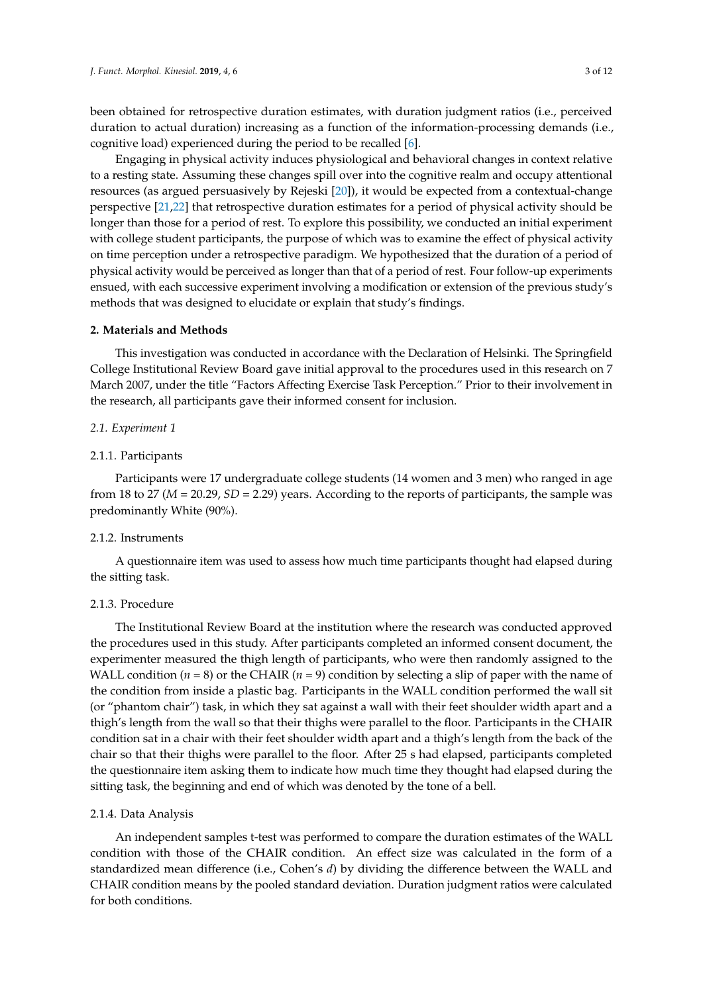been obtained for retrospective duration estimates, with duration judgment ratios (i.e., perceived duration to actual duration) increasing as a function of the information-processing demands (i.e., cognitive load) experienced during the period to be recalled [\[6\]](#page-11-4).

Engaging in physical activity induces physiological and behavioral changes in context relative to a resting state. Assuming these changes spill over into the cognitive realm and occupy attentional resources (as argued persuasively by Rejeski [\[20\]](#page-11-18)), it would be expected from a contextual-change perspective [\[21,](#page-11-19)[22\]](#page-11-20) that retrospective duration estimates for a period of physical activity should be longer than those for a period of rest. To explore this possibility, we conducted an initial experiment with college student participants, the purpose of which was to examine the effect of physical activity on time perception under a retrospective paradigm. We hypothesized that the duration of a period of physical activity would be perceived as longer than that of a period of rest. Four follow-up experiments ensued, with each successive experiment involving a modification or extension of the previous study's methods that was designed to elucidate or explain that study's findings.

# **2. Materials and Methods**

This investigation was conducted in accordance with the Declaration of Helsinki. The Springfield College Institutional Review Board gave initial approval to the procedures used in this research on 7 March 2007, under the title "Factors Affecting Exercise Task Perception." Prior to their involvement in the research, all participants gave their informed consent for inclusion.

#### *2.1. Experiment 1*

# 2.1.1. Participants

Participants were 17 undergraduate college students (14 women and 3 men) who ranged in age from 18 to 27 (*M* = 20.29, *SD* = 2.29) years. According to the reports of participants, the sample was predominantly White (90%).

# 2.1.2. Instruments

A questionnaire item was used to assess how much time participants thought had elapsed during the sitting task.

# 2.1.3. Procedure

The Institutional Review Board at the institution where the research was conducted approved the procedures used in this study. After participants completed an informed consent document, the experimenter measured the thigh length of participants, who were then randomly assigned to the WALL condition ( $n = 8$ ) or the CHAIR ( $n = 9$ ) condition by selecting a slip of paper with the name of the condition from inside a plastic bag. Participants in the WALL condition performed the wall sit (or "phantom chair") task, in which they sat against a wall with their feet shoulder width apart and a thigh's length from the wall so that their thighs were parallel to the floor. Participants in the CHAIR condition sat in a chair with their feet shoulder width apart and a thigh's length from the back of the chair so that their thighs were parallel to the floor. After 25 s had elapsed, participants completed the questionnaire item asking them to indicate how much time they thought had elapsed during the sitting task, the beginning and end of which was denoted by the tone of a bell.

# 2.1.4. Data Analysis

An independent samples t-test was performed to compare the duration estimates of the WALL condition with those of the CHAIR condition. An effect size was calculated in the form of a standardized mean difference (i.e., Cohen's *d*) by dividing the difference between the WALL and CHAIR condition means by the pooled standard deviation. Duration judgment ratios were calculated for both conditions.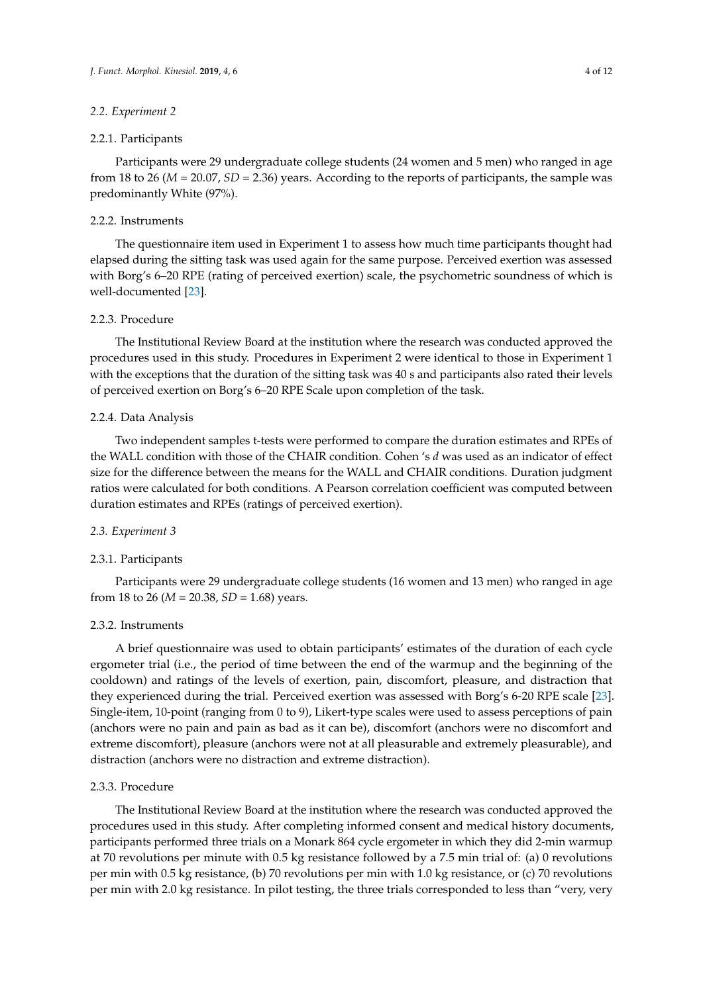#### *2.2. Experiment 2*

#### 2.2.1. Participants

Participants were 29 undergraduate college students (24 women and 5 men) who ranged in age from 18 to 26 (*M* = 20.07, *SD* = 2.36) years. According to the reports of participants, the sample was predominantly White (97%).

#### 2.2.2. Instruments

The questionnaire item used in Experiment 1 to assess how much time participants thought had elapsed during the sitting task was used again for the same purpose. Perceived exertion was assessed with Borg's 6–20 RPE (rating of perceived exertion) scale, the psychometric soundness of which is well-documented [\[23\]](#page-11-21).

# 2.2.3. Procedure

The Institutional Review Board at the institution where the research was conducted approved the procedures used in this study. Procedures in Experiment 2 were identical to those in Experiment 1 with the exceptions that the duration of the sitting task was 40 s and participants also rated their levels of perceived exertion on Borg's 6–20 RPE Scale upon completion of the task.

#### 2.2.4. Data Analysis

Two independent samples t-tests were performed to compare the duration estimates and RPEs of the WALL condition with those of the CHAIR condition. Cohen 's *d* was used as an indicator of effect size for the difference between the means for the WALL and CHAIR conditions. Duration judgment ratios were calculated for both conditions. A Pearson correlation coefficient was computed between duration estimates and RPEs (ratings of perceived exertion).

#### *2.3. Experiment 3*

#### 2.3.1. Participants

Participants were 29 undergraduate college students (16 women and 13 men) who ranged in age from 18 to 26 ( $M = 20.38$ ,  $SD = 1.68$ ) years.

#### 2.3.2. Instruments

A brief questionnaire was used to obtain participants' estimates of the duration of each cycle ergometer trial (i.e., the period of time between the end of the warmup and the beginning of the cooldown) and ratings of the levels of exertion, pain, discomfort, pleasure, and distraction that they experienced during the trial. Perceived exertion was assessed with Borg's 6-20 RPE scale [\[23\]](#page-11-21). Single-item, 10-point (ranging from 0 to 9), Likert-type scales were used to assess perceptions of pain (anchors were no pain and pain as bad as it can be), discomfort (anchors were no discomfort and extreme discomfort), pleasure (anchors were not at all pleasurable and extremely pleasurable), and distraction (anchors were no distraction and extreme distraction).

#### 2.3.3. Procedure

The Institutional Review Board at the institution where the research was conducted approved the procedures used in this study. After completing informed consent and medical history documents, participants performed three trials on a Monark 864 cycle ergometer in which they did 2-min warmup at 70 revolutions per minute with 0.5 kg resistance followed by a 7.5 min trial of: (a) 0 revolutions per min with 0.5 kg resistance, (b) 70 revolutions per min with 1.0 kg resistance, or (c) 70 revolutions per min with 2.0 kg resistance. In pilot testing, the three trials corresponded to less than "very, very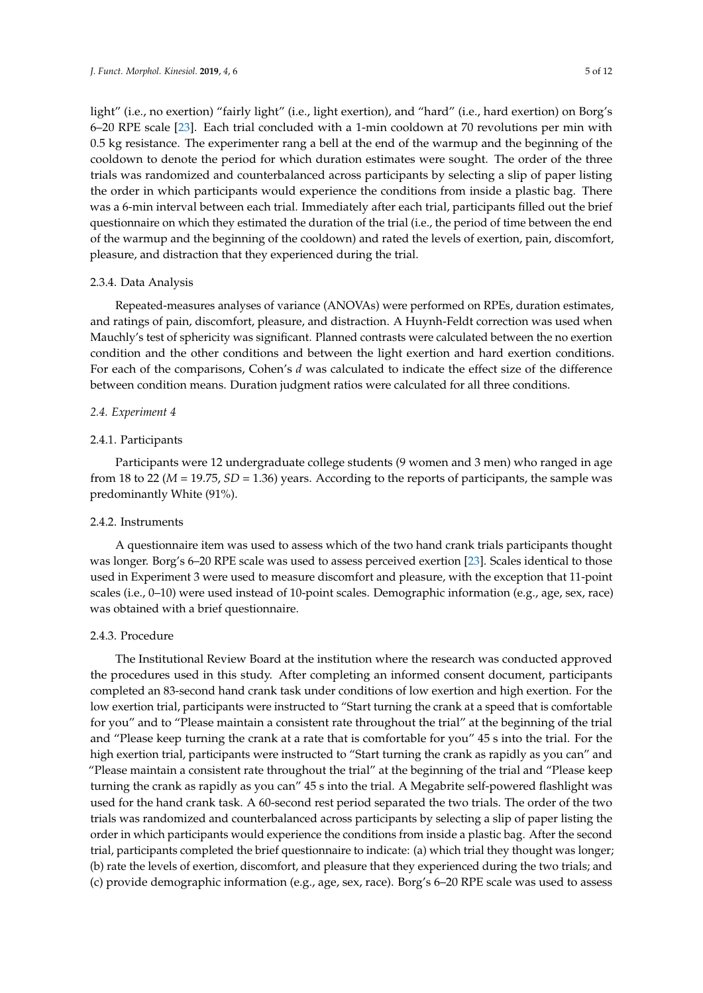light" (i.e., no exertion) "fairly light" (i.e., light exertion), and "hard" (i.e., hard exertion) on Borg's 6–20 RPE scale [\[23\]](#page-11-21). Each trial concluded with a 1-min cooldown at 70 revolutions per min with 0.5 kg resistance. The experimenter rang a bell at the end of the warmup and the beginning of the cooldown to denote the period for which duration estimates were sought. The order of the three trials was randomized and counterbalanced across participants by selecting a slip of paper listing the order in which participants would experience the conditions from inside a plastic bag. There was a 6-min interval between each trial. Immediately after each trial, participants filled out the brief questionnaire on which they estimated the duration of the trial (i.e., the period of time between the end of the warmup and the beginning of the cooldown) and rated the levels of exertion, pain, discomfort, pleasure, and distraction that they experienced during the trial.

# 2.3.4. Data Analysis

Repeated-measures analyses of variance (ANOVAs) were performed on RPEs, duration estimates, and ratings of pain, discomfort, pleasure, and distraction. A Huynh-Feldt correction was used when Mauchly's test of sphericity was significant. Planned contrasts were calculated between the no exertion condition and the other conditions and between the light exertion and hard exertion conditions. For each of the comparisons, Cohen's *d* was calculated to indicate the effect size of the difference between condition means. Duration judgment ratios were calculated for all three conditions.

# *2.4. Experiment 4*

# 2.4.1. Participants

Participants were 12 undergraduate college students (9 women and 3 men) who ranged in age from 18 to 22 (*M* = 19.75, *SD* = 1.36) years. According to the reports of participants, the sample was predominantly White (91%).

# 2.4.2. Instruments

A questionnaire item was used to assess which of the two hand crank trials participants thought was longer. Borg's 6–20 RPE scale was used to assess perceived exertion [\[23\]](#page-11-21). Scales identical to those used in Experiment 3 were used to measure discomfort and pleasure, with the exception that 11-point scales (i.e., 0–10) were used instead of 10-point scales. Demographic information (e.g., age, sex, race) was obtained with a brief questionnaire.

### 2.4.3. Procedure

The Institutional Review Board at the institution where the research was conducted approved the procedures used in this study. After completing an informed consent document, participants completed an 83-second hand crank task under conditions of low exertion and high exertion. For the low exertion trial, participants were instructed to "Start turning the crank at a speed that is comfortable for you" and to "Please maintain a consistent rate throughout the trial" at the beginning of the trial and "Please keep turning the crank at a rate that is comfortable for you" 45 s into the trial. For the high exertion trial, participants were instructed to "Start turning the crank as rapidly as you can" and "Please maintain a consistent rate throughout the trial" at the beginning of the trial and "Please keep turning the crank as rapidly as you can" 45 s into the trial. A Megabrite self-powered flashlight was used for the hand crank task. A 60-second rest period separated the two trials. The order of the two trials was randomized and counterbalanced across participants by selecting a slip of paper listing the order in which participants would experience the conditions from inside a plastic bag. After the second trial, participants completed the brief questionnaire to indicate: (a) which trial they thought was longer; (b) rate the levels of exertion, discomfort, and pleasure that they experienced during the two trials; and (c) provide demographic information (e.g., age, sex, race). Borg's 6–20 RPE scale was used to assess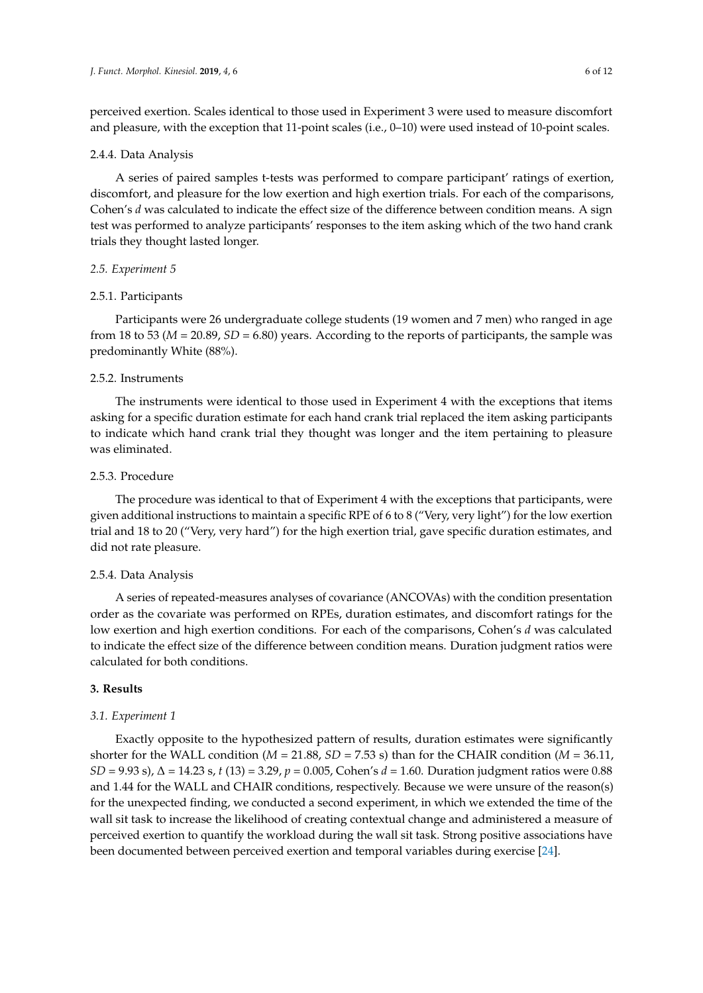perceived exertion. Scales identical to those used in Experiment 3 were used to measure discomfort and pleasure, with the exception that 11-point scales (i.e., 0–10) were used instead of 10-point scales.

#### 2.4.4. Data Analysis

A series of paired samples t-tests was performed to compare participant' ratings of exertion, discomfort, and pleasure for the low exertion and high exertion trials. For each of the comparisons, Cohen's *d* was calculated to indicate the effect size of the difference between condition means. A sign test was performed to analyze participants' responses to the item asking which of the two hand crank trials they thought lasted longer.

#### *2.5. Experiment 5*

#### 2.5.1. Participants

Participants were 26 undergraduate college students (19 women and 7 men) who ranged in age from 18 to 53 (*M* = 20.89, *SD* = 6.80) years. According to the reports of participants, the sample was predominantly White (88%).

# 2.5.2. Instruments

The instruments were identical to those used in Experiment 4 with the exceptions that items asking for a specific duration estimate for each hand crank trial replaced the item asking participants to indicate which hand crank trial they thought was longer and the item pertaining to pleasure was eliminated.

# 2.5.3. Procedure

The procedure was identical to that of Experiment 4 with the exceptions that participants, were given additional instructions to maintain a specific RPE of 6 to 8 ("Very, very light") for the low exertion trial and 18 to 20 ("Very, very hard") for the high exertion trial, gave specific duration estimates, and did not rate pleasure.

#### 2.5.4. Data Analysis

A series of repeated-measures analyses of covariance (ANCOVAs) with the condition presentation order as the covariate was performed on RPEs, duration estimates, and discomfort ratings for the low exertion and high exertion conditions. For each of the comparisons, Cohen's *d* was calculated to indicate the effect size of the difference between condition means. Duration judgment ratios were calculated for both conditions.

# **3. Results**

#### *3.1. Experiment 1*

Exactly opposite to the hypothesized pattern of results, duration estimates were significantly shorter for the WALL condition ( $M = 21.88$ ,  $SD = 7.53$  s) than for the CHAIR condition ( $M = 36.11$ , *SD* = 9.93 s), ∆ = 14.23 s, *t* (13) = 3.29, *p* = 0.005, Cohen's *d* = 1.60. Duration judgment ratios were 0.88 and 1.44 for the WALL and CHAIR conditions, respectively. Because we were unsure of the reason(s) for the unexpected finding, we conducted a second experiment, in which we extended the time of the wall sit task to increase the likelihood of creating contextual change and administered a measure of perceived exertion to quantify the workload during the wall sit task. Strong positive associations have been documented between perceived exertion and temporal variables during exercise [\[24\]](#page-11-22).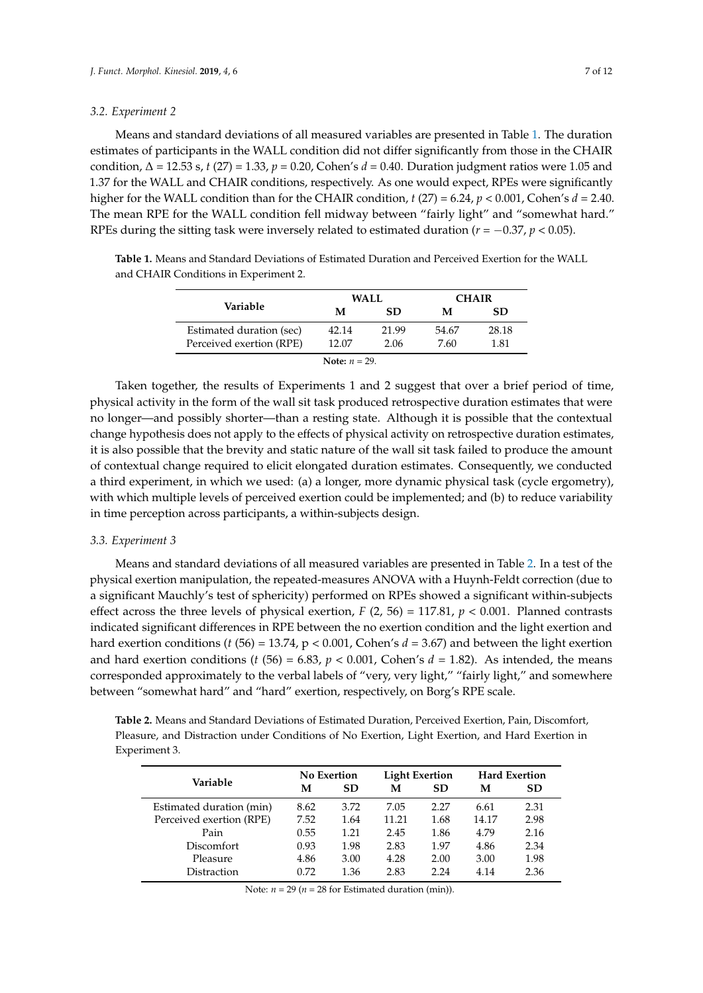#### *3.2. Experiment 2*

Means and standard deviations of all measured variables are presented in Table [1.](#page-6-0) The duration estimates of participants in the WALL condition did not differ significantly from those in the CHAIR condition, ∆ = 12.53 s, *t* (27) = 1.33, *p* = 0.20, Cohen's *d* = 0.40. Duration judgment ratios were 1.05 and 1.37 for the WALL and CHAIR conditions, respectively. As one would expect, RPEs were significantly higher for the WALL condition than for the CHAIR condition,  $t$  (27) = 6.24,  $p < 0.001$ , Cohen's  $d = 2.40$ . The mean RPE for the WALL condition fell midway between "fairly light" and "somewhat hard." RPEs during the sitting task were inversely related to estimated duration ( $r = -0.37$ ,  $p < 0.05$ ).

<span id="page-6-0"></span>**Table 1.** Means and Standard Deviations of Estimated Duration and Perceived Exertion for the WALL and CHAIR Conditions in Experiment 2.

|                          | WALL  |       | <b>CHAIR</b> |       |  |
|--------------------------|-------|-------|--------------|-------|--|
| Variable                 | М     | SD.   | м            | SD.   |  |
| Estimated duration (sec) | 42.14 | 21.99 | 54.67        | 28.18 |  |
| Perceived exertion (RPE) | 12.07 | 2.06  | 7.60         | 1.81  |  |
| Note: $n = 29$ .         |       |       |              |       |  |

Taken together, the results of Experiments 1 and 2 suggest that over a brief period of time, physical activity in the form of the wall sit task produced retrospective duration estimates that were no longer—and possibly shorter—than a resting state. Although it is possible that the contextual change hypothesis does not apply to the effects of physical activity on retrospective duration estimates, it is also possible that the brevity and static nature of the wall sit task failed to produce the amount of contextual change required to elicit elongated duration estimates. Consequently, we conducted a third experiment, in which we used: (a) a longer, more dynamic physical task (cycle ergometry), with which multiple levels of perceived exertion could be implemented; and (b) to reduce variability in time perception across participants, a within-subjects design.

# *3.3. Experiment 3*

Means and standard deviations of all measured variables are presented in Table [2.](#page-6-1) In a test of the physical exertion manipulation, the repeated-measures ANOVA with a Huynh-Feldt correction (due to a significant Mauchly's test of sphericity) performed on RPEs showed a significant within-subjects effect across the three levels of physical exertion,  $F(2, 56) = 117.81$ ,  $p < 0.001$ . Planned contrasts indicated significant differences in RPE between the no exertion condition and the light exertion and hard exertion conditions (*t* (56) = 13.74, p < 0.001, Cohen's *d* = 3.67) and between the light exertion and hard exertion conditions ( $t$  (56) = 6.83,  $p$  < 0.001, Cohen's  $d$  = 1.82). As intended, the means corresponded approximately to the verbal labels of "very, very light," "fairly light," and somewhere between "somewhat hard" and "hard" exertion, respectively, on Borg's RPE scale.

<span id="page-6-1"></span>**Table 2.** Means and Standard Deviations of Estimated Duration, Perceived Exertion, Pain, Discomfort, Pleasure, and Distraction under Conditions of No Exertion, Light Exertion, and Hard Exertion in Experiment 3.

|                          |      | <b>No Exertion</b> |       | <b>Light Exertion</b> |       | <b>Hard Exertion</b> |  |
|--------------------------|------|--------------------|-------|-----------------------|-------|----------------------|--|
| Variable                 | М    | <b>SD</b>          | М     | <b>SD</b>             | М     | <b>SD</b>            |  |
| Estimated duration (min) | 8.62 | 3.72               | 7.05  | 2.27                  | 6.61  | 2.31                 |  |
| Perceived exertion (RPE) | 7.52 | 1.64               | 11.21 | 1.68                  | 14.17 | 2.98                 |  |
| Pain                     | 0.55 | 1.21               | 2.45  | 1.86                  | 4.79  | 2.16                 |  |
| <b>Discomfort</b>        | 0.93 | 1.98               | 2.83  | 1.97                  | 4.86  | 2.34                 |  |
| Pleasure                 | 4.86 | 3.00               | 4.28  | 2.00                  | 3.00  | 1.98                 |  |
| Distraction              | 0.72 | 1.36               | 2.83  | 2.24                  | 4.14  | 2.36                 |  |

Note:  $n = 29$  ( $n = 28$  for Estimated duration (min)).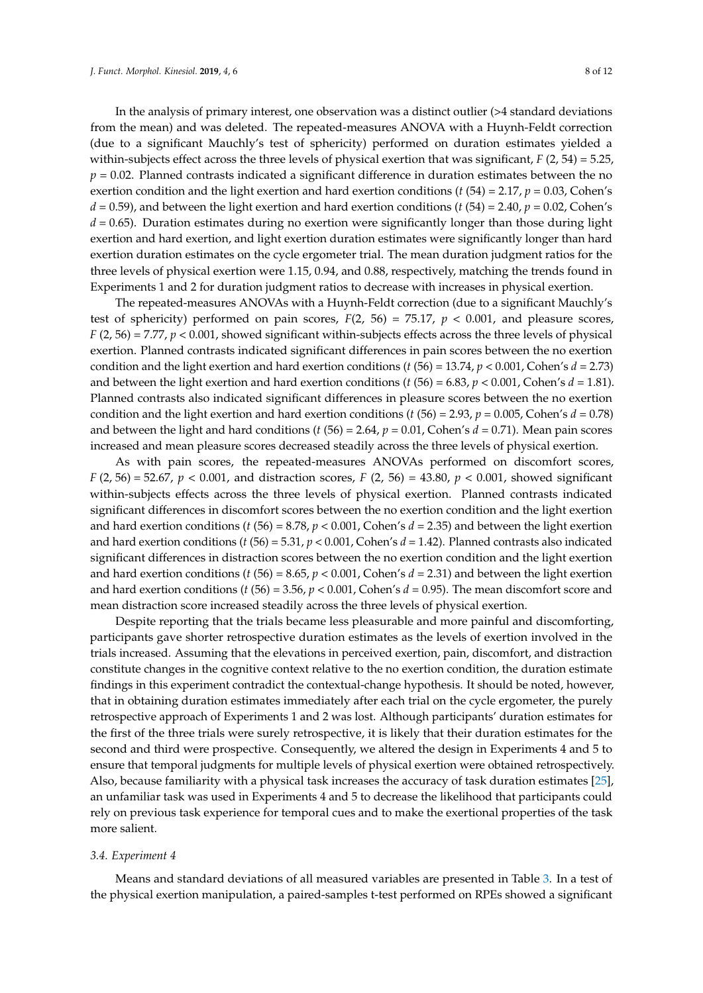In the analysis of primary interest, one observation was a distinct outlier (>4 standard deviations from the mean) and was deleted. The repeated-measures ANOVA with a Huynh-Feldt correction (due to a significant Mauchly's test of sphericity) performed on duration estimates yielded a within-subjects effect across the three levels of physical exertion that was significant, *F* (2, 54) = 5.25,  $p = 0.02$ . Planned contrasts indicated a significant difference in duration estimates between the no exertion condition and the light exertion and hard exertion conditions ( $t$  (54) = 2.17,  $p$  = 0.03, Cohen's  $d = 0.59$ ), and between the light exertion and hard exertion conditions (*t* (54) = 2.40, *p* = 0.02, Cohen's *d* = 0.65). Duration estimates during no exertion were significantly longer than those during light exertion and hard exertion, and light exertion duration estimates were significantly longer than hard exertion duration estimates on the cycle ergometer trial. The mean duration judgment ratios for the three levels of physical exertion were 1.15, 0.94, and 0.88, respectively, matching the trends found in Experiments 1 and 2 for duration judgment ratios to decrease with increases in physical exertion.

The repeated-measures ANOVAs with a Huynh-Feldt correction (due to a significant Mauchly's test of sphericity) performed on pain scores,  $F(2, 56) = 75.17$ ,  $p < 0.001$ , and pleasure scores, *F* (2, 56) = 7.77,  $p < 0.001$ , showed significant within-subjects effects across the three levels of physical exertion. Planned contrasts indicated significant differences in pain scores between the no exertion condition and the light exertion and hard exertion conditions ( $t(56) = 13.74$ ,  $p < 0.001$ , Cohen's  $d = 2.73$ ) and between the light exertion and hard exertion conditions (*t* (56) = 6.83, *p* < 0.001, Cohen's *d* = 1.81). Planned contrasts also indicated significant differences in pleasure scores between the no exertion condition and the light exertion and hard exertion conditions (*t* (56) = 2.93, *p* = 0.005, Cohen's *d* = 0.78) and between the light and hard conditions (*t* (56) = 2.64, *p* = 0.01, Cohen's *d* = 0.71). Mean pain scores increased and mean pleasure scores decreased steadily across the three levels of physical exertion.

As with pain scores, the repeated-measures ANOVAs performed on discomfort scores, *F* (2, 56) = 52.67, *p* < 0.001, and distraction scores, *F* (2, 56) = 43.80, *p* < 0.001, showed significant within-subjects effects across the three levels of physical exertion. Planned contrasts indicated significant differences in discomfort scores between the no exertion condition and the light exertion and hard exertion conditions (*t* (56) = 8.78, *p* < 0.001, Cohen's *d* = 2.35) and between the light exertion and hard exertion conditions (*t* (56) = 5.31, *p* < 0.001, Cohen's *d* = 1.42). Planned contrasts also indicated significant differences in distraction scores between the no exertion condition and the light exertion and hard exertion conditions (*t* (56) = 8.65, *p* < 0.001, Cohen's *d* = 2.31) and between the light exertion and hard exertion conditions (*t* (56) = 3.56, *p* < 0.001, Cohen's *d* = 0.95). The mean discomfort score and mean distraction score increased steadily across the three levels of physical exertion.

Despite reporting that the trials became less pleasurable and more painful and discomforting, participants gave shorter retrospective duration estimates as the levels of exertion involved in the trials increased. Assuming that the elevations in perceived exertion, pain, discomfort, and distraction constitute changes in the cognitive context relative to the no exertion condition, the duration estimate findings in this experiment contradict the contextual-change hypothesis. It should be noted, however, that in obtaining duration estimates immediately after each trial on the cycle ergometer, the purely retrospective approach of Experiments 1 and 2 was lost. Although participants' duration estimates for the first of the three trials were surely retrospective, it is likely that their duration estimates for the second and third were prospective. Consequently, we altered the design in Experiments 4 and 5 to ensure that temporal judgments for multiple levels of physical exertion were obtained retrospectively. Also, because familiarity with a physical task increases the accuracy of task duration estimates [\[25\]](#page-11-23), an unfamiliar task was used in Experiments 4 and 5 to decrease the likelihood that participants could rely on previous task experience for temporal cues and to make the exertional properties of the task more salient.

#### *3.4. Experiment 4*

Means and standard deviations of all measured variables are presented in Table [3.](#page-8-0) In a test of the physical exertion manipulation, a paired-samples t-test performed on RPEs showed a significant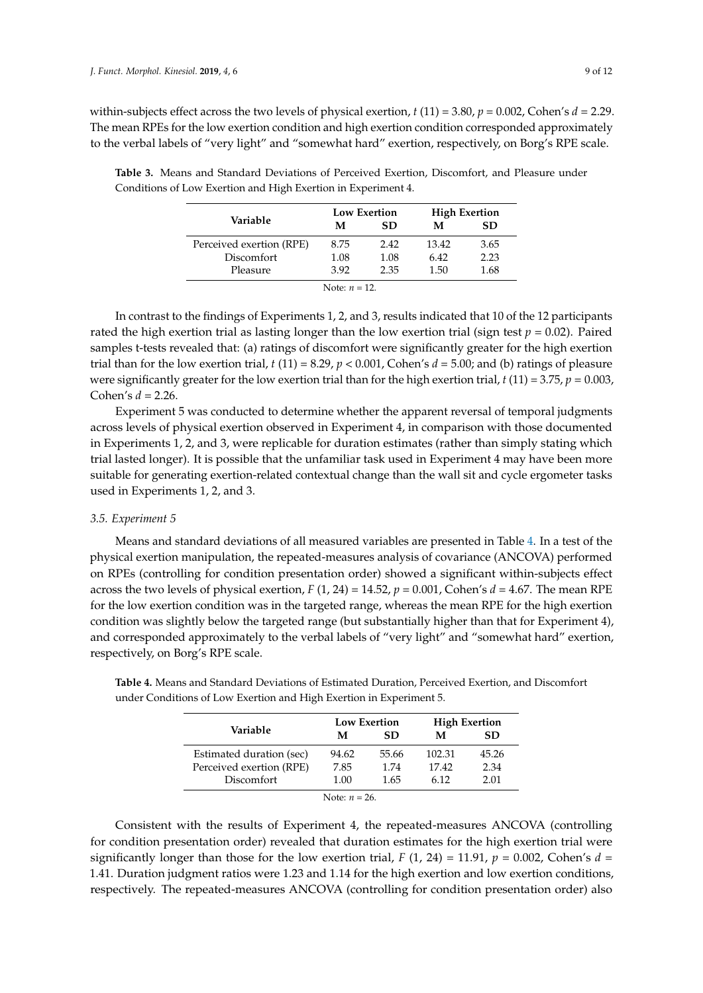within-subjects effect across the two levels of physical exertion, *t* (11) = 3.80, *p* = 0.002, Cohen's *d* = 2.29. The mean RPEs for the low exertion condition and high exertion condition corresponded approximately to the verbal labels of "very light" and "somewhat hard" exertion, respectively, on Borg's RPE scale.

|                          |      | Low Exertion | <b>High Exertion</b> |      |  |
|--------------------------|------|--------------|----------------------|------|--|
| Variable                 | М    | SD           | М                    | SD.  |  |
| Perceived exertion (RPE) | 8.75 | 2.42         | 13.42                | 3.65 |  |
| Discomfort               | 1.08 | 1.08         | 6.42                 | 2.23 |  |
| Pleasure                 | 3.92 | 2.35         | 1.50                 | 1.68 |  |

<span id="page-8-0"></span>**Table 3.** Means and Standard Deviations of Perceived Exertion, Discomfort, and Pleasure under Conditions of Low Exertion and High Exertion in Experiment 4.

| Note: $n = 12$ . |  |  |  |
|------------------|--|--|--|
|------------------|--|--|--|

In contrast to the findings of Experiments 1, 2, and 3, results indicated that 10 of the 12 participants rated the high exertion trial as lasting longer than the low exertion trial (sign test  $p = 0.02$ ). Paired samples t-tests revealed that: (a) ratings of discomfort were significantly greater for the high exertion trial than for the low exertion trial,  $t(11) = 8.29$ ,  $p < 0.001$ , Cohen's  $d = 5.00$ ; and (b) ratings of pleasure were significantly greater for the low exertion trial than for the high exertion trial,  $t(11) = 3.75$ ,  $p = 0.003$ , Cohen's *d* = 2.26.

Experiment 5 was conducted to determine whether the apparent reversal of temporal judgments across levels of physical exertion observed in Experiment 4, in comparison with those documented in Experiments 1, 2, and 3, were replicable for duration estimates (rather than simply stating which trial lasted longer). It is possible that the unfamiliar task used in Experiment 4 may have been more suitable for generating exertion-related contextual change than the wall sit and cycle ergometer tasks used in Experiments 1, 2, and 3.

#### *3.5. Experiment 5*

Means and standard deviations of all measured variables are presented in Table [4.](#page-8-1) In a test of the physical exertion manipulation, the repeated-measures analysis of covariance (ANCOVA) performed on RPEs (controlling for condition presentation order) showed a significant within-subjects effect across the two levels of physical exertion,  $F(1, 24) = 14.52$ ,  $p = 0.001$ , Cohen's  $d = 4.67$ . The mean RPE for the low exertion condition was in the targeted range, whereas the mean RPE for the high exertion condition was slightly below the targeted range (but substantially higher than that for Experiment 4), and corresponded approximately to the verbal labels of "very light" and "somewhat hard" exertion, respectively, on Borg's RPE scale.

|                          |       | <b>Low Exertion</b> | <b>High Exertion</b> |           |  |
|--------------------------|-------|---------------------|----------------------|-----------|--|
| Variable                 | М     | SD                  | М                    | <b>SD</b> |  |
| Estimated duration (sec) | 94.62 | 55.66               | 102.31               | 45.26     |  |
| Perceived exertion (RPE) | 7.85  | 1.74                | 17.42                | 2.34      |  |
| Discomfort               | 1.00  | 1.65                | 6.12                 | 2.01      |  |
| Note: $n = 26$ .         |       |                     |                      |           |  |

<span id="page-8-1"></span>**Table 4.** Means and Standard Deviations of Estimated Duration, Perceived Exertion, and Discomfort under Conditions of Low Exertion and High Exertion in Experiment 5.

Consistent with the results of Experiment 4, the repeated-measures ANCOVA (controlling for condition presentation order) revealed that duration estimates for the high exertion trial were significantly longer than those for the low exertion trial,  $F(1, 24) = 11.91$ ,  $p = 0.002$ , Cohen's  $d =$ 1.41. Duration judgment ratios were 1.23 and 1.14 for the high exertion and low exertion conditions, respectively. The repeated-measures ANCOVA (controlling for condition presentation order) also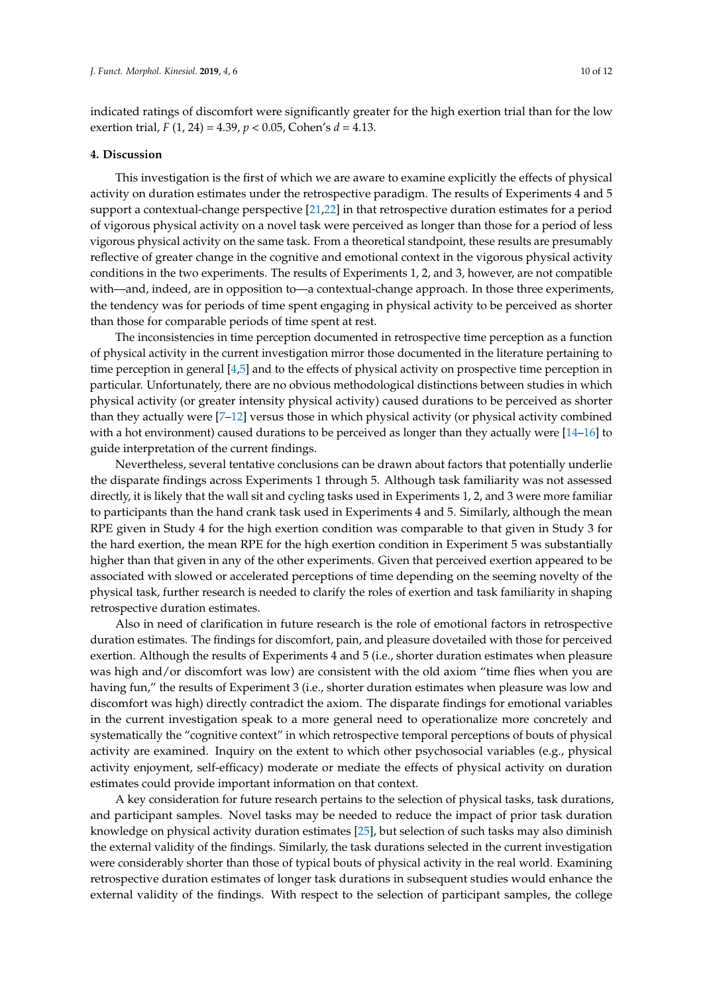indicated ratings of discomfort were significantly greater for the high exertion trial than for the low exertion trial, *F* (1, 24) = 4.39, *p* < 0.05, Cohen's *d* = 4.13.

#### **4. Discussion**

This investigation is the first of which we are aware to examine explicitly the effects of physical activity on duration estimates under the retrospective paradigm. The results of Experiments 4 and 5 support a contextual-change perspective [\[21,](#page-11-19)[22\]](#page-11-20) in that retrospective duration estimates for a period of vigorous physical activity on a novel task were perceived as longer than those for a period of less vigorous physical activity on the same task. From a theoretical standpoint, these results are presumably reflective of greater change in the cognitive and emotional context in the vigorous physical activity conditions in the two experiments. The results of Experiments 1, 2, and 3, however, are not compatible with—and, indeed, are in opposition to—a contextual-change approach. In those three experiments, the tendency was for periods of time spent engaging in physical activity to be perceived as shorter than those for comparable periods of time spent at rest.

The inconsistencies in time perception documented in retrospective time perception as a function of physical activity in the current investigation mirror those documented in the literature pertaining to time perception in general [\[4,](#page-11-2)[5\]](#page-11-3) and to the effects of physical activity on prospective time perception in particular. Unfortunately, there are no obvious methodological distinctions between studies in which physical activity (or greater intensity physical activity) caused durations to be perceived as shorter than they actually were [\[7–](#page-11-5)[12\]](#page-11-10) versus those in which physical activity (or physical activity combined with a hot environment) caused durations to be perceived as longer than they actually were  $[14-16]$  $[14-16]$  to guide interpretation of the current findings.

Nevertheless, several tentative conclusions can be drawn about factors that potentially underlie the disparate findings across Experiments 1 through 5. Although task familiarity was not assessed directly, it is likely that the wall sit and cycling tasks used in Experiments 1, 2, and 3 were more familiar to participants than the hand crank task used in Experiments 4 and 5. Similarly, although the mean RPE given in Study 4 for the high exertion condition was comparable to that given in Study 3 for the hard exertion, the mean RPE for the high exertion condition in Experiment 5 was substantially higher than that given in any of the other experiments. Given that perceived exertion appeared to be associated with slowed or accelerated perceptions of time depending on the seeming novelty of the physical task, further research is needed to clarify the roles of exertion and task familiarity in shaping retrospective duration estimates.

Also in need of clarification in future research is the role of emotional factors in retrospective duration estimates. The findings for discomfort, pain, and pleasure dovetailed with those for perceived exertion. Although the results of Experiments 4 and 5 (i.e., shorter duration estimates when pleasure was high and/or discomfort was low) are consistent with the old axiom "time flies when you are having fun," the results of Experiment 3 (i.e., shorter duration estimates when pleasure was low and discomfort was high) directly contradict the axiom. The disparate findings for emotional variables in the current investigation speak to a more general need to operationalize more concretely and systematically the "cognitive context" in which retrospective temporal perceptions of bouts of physical activity are examined. Inquiry on the extent to which other psychosocial variables (e.g., physical activity enjoyment, self-efficacy) moderate or mediate the effects of physical activity on duration estimates could provide important information on that context.

A key consideration for future research pertains to the selection of physical tasks, task durations, and participant samples. Novel tasks may be needed to reduce the impact of prior task duration knowledge on physical activity duration estimates [\[25\]](#page-11-23), but selection of such tasks may also diminish the external validity of the findings. Similarly, the task durations selected in the current investigation were considerably shorter than those of typical bouts of physical activity in the real world. Examining retrospective duration estimates of longer task durations in subsequent studies would enhance the external validity of the findings. With respect to the selection of participant samples, the college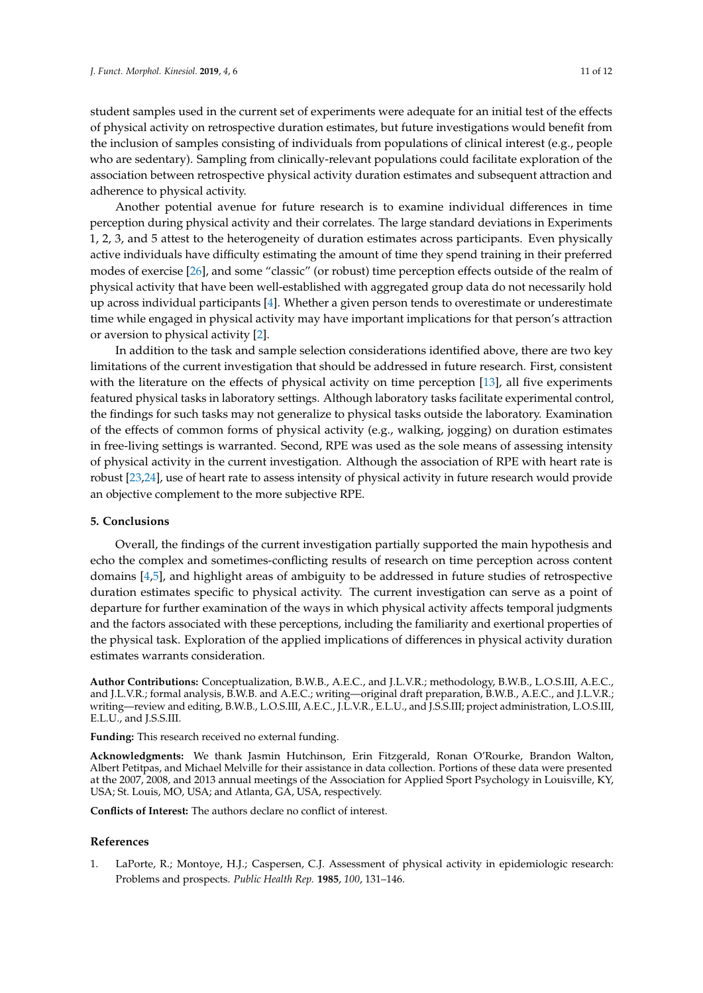who are sedentary). Sampling from clinically-relevant populations could facilitate exploration of the association between retrospective physical activity duration estimates and subsequent attraction and adherence to physical activity.

Another potential avenue for future research is to examine individual differences in time perception during physical activity and their correlates. The large standard deviations in Experiments 1, 2, 3, and 5 attest to the heterogeneity of duration estimates across participants. Even physically active individuals have difficulty estimating the amount of time they spend training in their preferred modes of exercise [\[26\]](#page-11-24), and some "classic" (or robust) time perception effects outside of the realm of physical activity that have been well-established with aggregated group data do not necessarily hold up across individual participants [\[4\]](#page-11-2). Whether a given person tends to overestimate or underestimate time while engaged in physical activity may have important implications for that person's attraction or aversion to physical activity [\[2\]](#page-11-0).

In addition to the task and sample selection considerations identified above, there are two key limitations of the current investigation that should be addressed in future research. First, consistent with the literature on the effects of physical activity on time perception [\[13\]](#page-11-11), all five experiments featured physical tasks in laboratory settings. Although laboratory tasks facilitate experimental control, the findings for such tasks may not generalize to physical tasks outside the laboratory. Examination of the effects of common forms of physical activity (e.g., walking, jogging) on duration estimates in free-living settings is warranted. Second, RPE was used as the sole means of assessing intensity of physical activity in the current investigation. Although the association of RPE with heart rate is robust [\[23](#page-11-21)[,24\]](#page-11-22), use of heart rate to assess intensity of physical activity in future research would provide an objective complement to the more subjective RPE.

# **5. Conclusions**

Overall, the findings of the current investigation partially supported the main hypothesis and echo the complex and sometimes-conflicting results of research on time perception across content domains [\[4,](#page-11-2)[5\]](#page-11-3), and highlight areas of ambiguity to be addressed in future studies of retrospective duration estimates specific to physical activity. The current investigation can serve as a point of departure for further examination of the ways in which physical activity affects temporal judgments and the factors associated with these perceptions, including the familiarity and exertional properties of the physical task. Exploration of the applied implications of differences in physical activity duration estimates warrants consideration.

**Author Contributions:** Conceptualization, B.W.B., A.E.C., and J.L.V.R.; methodology, B.W.B., L.O.S.III, A.E.C., and J.L.V.R.; formal analysis, B.W.B. and A.E.C.; writing—original draft preparation, B.W.B., A.E.C., and J.L.V.R.; writing—review and editing, B.W.B., L.O.S.III, A.E.C., J.L.V.R., E.L.U., and J.S.S.III; project administration, L.O.S.III, E.L.U., and J.S.S.III.

**Funding:** This research received no external funding.

**Acknowledgments:** We thank Jasmin Hutchinson, Erin Fitzgerald, Ronan O'Rourke, Brandon Walton, Albert Petitpas, and Michael Melville for their assistance in data collection. Portions of these data were presented at the 2007, 2008, and 2013 annual meetings of the Association for Applied Sport Psychology in Louisville, KY, USA; St. Louis, MO, USA; and Atlanta, GA, USA, respectively.

**Conflicts of Interest:** The authors declare no conflict of interest.

#### **References**

<span id="page-10-0"></span>1. LaPorte, R.; Montoye, H.J.; Caspersen, C.J. Assessment of physical activity in epidemiologic research: Problems and prospects. *Public Health Rep.* **1985**, *100*, 131–146.